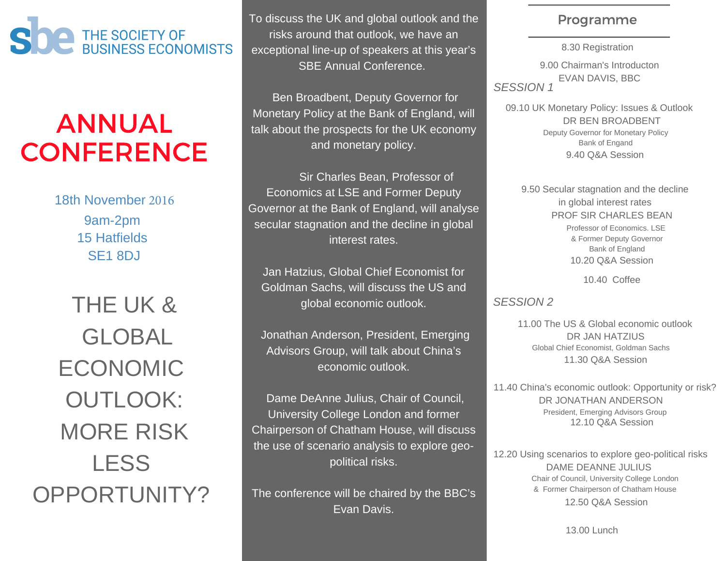

# ANNUAL **CONFERENCE**

18th November 2016 9am-2pm 15 Hatfields SE1 8DJ

THE UK & GLOBAL ECONOMIC OUTLOOK: MORE RISK LESS OPPORTUNITY? To discuss the UK and global outlook and the risks around that outlook, we have an exceptional line-up of speakers at this year's SBE Annual Conference.

 Ben Broadbent, Deputy Governor for Monetary Policy at the Bank of England, will talk about the prospects for the UK economy and monetary policy.

 Sir Charles Bean, Professor of Economics at LSE and Former Deputy Governor at the Bank of England, will analyse secular stagnation and the decline in global interest rates.

Jan Hatzius, Global Chief Economist for Goldman Sachs, will discuss the US and global economic outlook.

 Jonathan Anderson, President, Emerging Advisors Group, will talk about China's economic outlook.

 Dame DeAnne Julius, Chair of Council, University College London and former Chairperson of Chatham House, will discuss the use of scenario analysis to explore geopolitical risks.

The conference will be chaired by the BBC's Evan Davis.

### Programme

8.30 Registration 9.00 Chairman's Introducton EVAN DAVIS, BBC *SESSION 1*

09.10 UK Monetary Policy: Issues & Outlook Deputy Governor for Monetary Policy Bank of Engand 9.40 Q&A Session DR BEN BROADBENT

9.50 Secular stagnation and the decline in global interest rates PROF SIR CHARLES BEAN Professor of Economics. LSE & Former Deputy Governor Bank of England 10.20 Q&A Session

10.40 Coffee

### *SESSION 2*

DR JAN HATZIUS 11.00 The US & Global economic outlook Global Chief Economist, Goldman Sachs 11.30 Q&A Session

11.40 China's economic outlook: Opportunity or risk? DR JONATHAN ANDERSON President, Emerging Advisors Group 12.10 Q&A Session

12.20 Using scenarios to explore geo-political risks DAME DEANNE JULIUS Chair of Council, University College London & Former Chairperson of Chatham House 12.50 Q&A Session

13.00 Lunch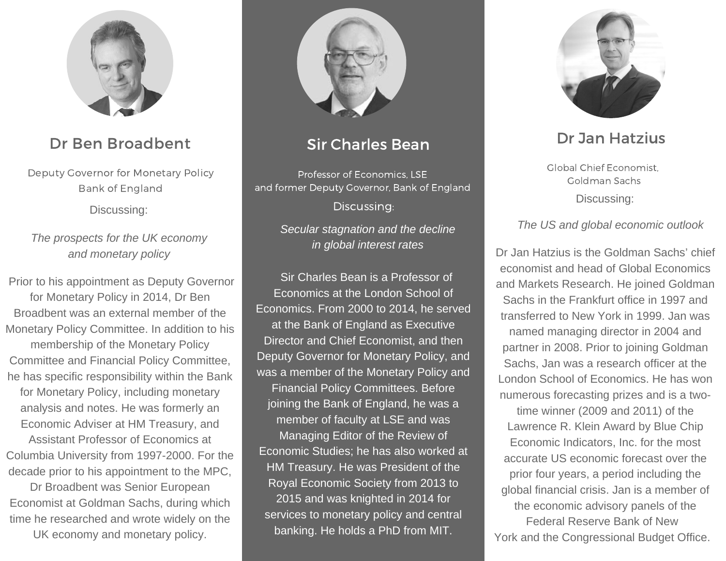

## Dr Ben Broadbent

Deputy Governor for Monetary Policy Bank of England

Discussing:

*The prospects for the UK economy and monetary policy*

Prior to his appointment as Deputy Governor for Monetary Policy in 2014, Dr Ben Broadbent was an external member of the Monetary Policy Committee. In addition to his membership of the Monetary Policy Committee and Financial Policy Committee, he has specific responsibility within the Bank for Monetary Policy, including monetary analysis and notes. He was formerly an Economic Adviser at HM Treasury, and Assistant Professor of Economics at Columbia University from 1997-2000. For the decade prior to his appointment to the MPC,

Dr Broadbent was Senior European Economist at Goldman Sachs, during which time he researched and wrote widely on the

UK economy and monetary policy.



### Sir Charles Bean

Discussing: Professor of Economics, LSE and former Deputy Governor, Bank of England

> *Secular stagnation and the decline in global interest rates*

Sir Charles Bean is a Professor of Economics at the London School of Economics. From 2000 to 2014, he served at the Bank of England as Executive Director and Chief Economist, and then Deputy Governor for Monetary Policy, and was a member of the Monetary Policy and Financial Policy Committees. Before joining the Bank of England, he was a member of faculty at LSE and was Managing Editor of the Review of Economic Studies; he has also worked at HM Treasury. He was President of the Royal Economic Society from 2013 to 2015 and was knighted in 2014 for services to monetary policy and central banking. He holds a PhD from MIT.



# Dr Jan Hatzius

Global Chief Economist, Goldman Sachs Discussing:

*The US and global economic outlook*

Dr Jan Hatzius is the Goldman Sachs' chief economist and head of Global Economics and Markets Research. He joined Goldman Sachs in the Frankfurt office in 1997 and transferred to New York in 1999. Jan was named managing director in 2004 and partner in 2008. Prior to joining Goldman Sachs, Jan was a research officer at the London School of Economics. He has won numerous forecasting prizes and is a twotime winner (2009 and 2011) of the Lawrence R. Klein Award by Blue Chip Economic Indicators, Inc. for the most accurate US economic forecast over the prior four years, a period including the global financial crisis. Jan is a member of the economic advisory panels of the Federal Reserve Bank of New York and the Congressional Budget Office.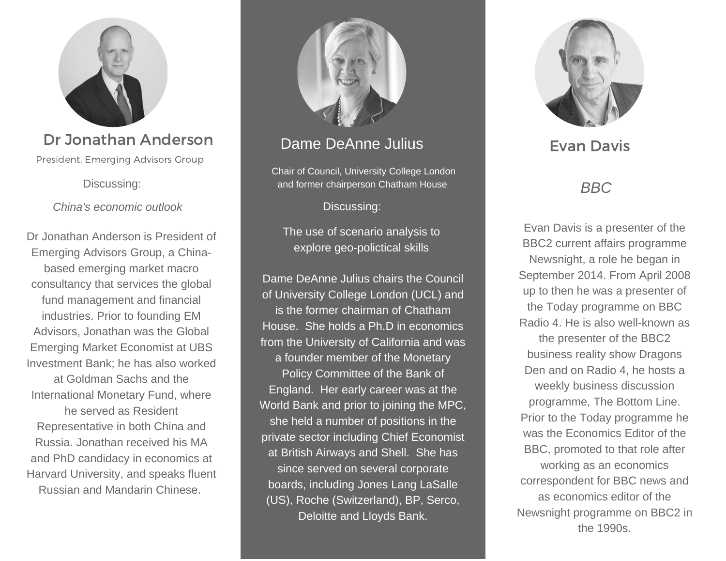

# Dr Jonathan Anderson

President. Emerging Advisors Group

Discussing:

*China's economic outlook*

Dr Jonathan Anderson is President of Emerging Advisors Group, a Chinabased emerging market macro consultancy that services the global fund management and financial industries. Prior to founding EM Advisors, Jonathan was the Global Emerging Market Economist at UBS Investment Bank; he has also worked at Goldman Sachs and the International Monetary Fund, where he served as Resident Representative in both China and Russia. Jonathan received his MA and PhD candidacy in economics at Harvard University, and speaks fluent Russian and Mandarin Chinese.



## Dame DeAnne Julius

Chair of Council, University College London and former chairperson Chatham House

Discussing:

The use of scenario analysis to explore geo-polictical skills

Dame DeAnne Julius chairs the Council of University College London (UCL) and is the former chairman of Chatham House. She holds a Ph.D in economics from the University of California and was a founder member of the Monetary Policy Committee of the Bank of England. Her early career was at the World Bank and prior to joining the MPC, she held a number of positions in the private sector including Chief Economist at British Airways and Shell. She has since served on several corporate boards, including Jones Lang LaSalle (US), Roche (Switzerland), BP, Serco, Deloitte and Lloyds Bank.



Evan Davis

### *BBC*

Evan Davis is a presenter of the BBC2 current affairs programme Newsnight, a role he began in September 2014. From April 2008 up to then he was a presenter of the Today programme on BBC Radio 4. He is also well-known as the presenter of the BBC2 business reality show Dragons Den and on Radio 4, he hosts a weekly business discussion programme, The Bottom Line. Prior to the Today programme he was the Economics Editor of the BBC, promoted to that role after working as an economics correspondent for BBC news and as economics editor of the Newsnight programme on BBC2 in the 1990s.